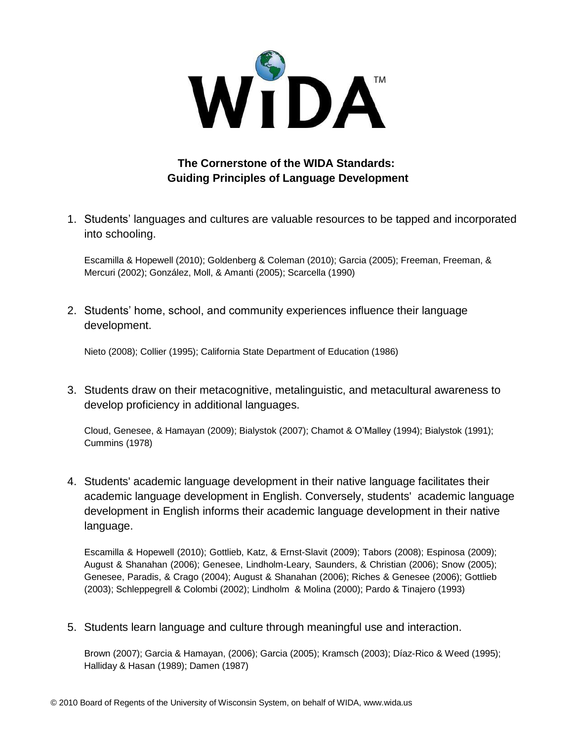

## **The Cornerstone of the WIDA Standards: Guiding Principles of Language Development**

1. Students' languages and cultures are valuable resources to be tapped and incorporated into schooling.

Escamilla & Hopewell (2010); Goldenberg & Coleman (2010); Garcia (2005); Freeman, Freeman, & Mercuri (2002); González, Moll, & Amanti (2005); Scarcella (1990)

2. Students' home, school, and community experiences influence their language development.

Nieto (2008); Collier (1995); California State Department of Education (1986)

3. Students draw on their metacognitive, metalinguistic, and metacultural awareness to develop proficiency in additional languages.

Cloud, Genesee, & Hamayan (2009); Bialystok (2007); Chamot & O'Malley (1994); Bialystok (1991); Cummins (1978)

4. Students' academic language development in their native language facilitates their academic language development in English. Conversely, students' academic language development in English informs their academic language development in their native language.

Escamilla & Hopewell (2010); Gottlieb, Katz, & Ernst-Slavit (2009); Tabors (2008); Espinosa (2009); August & Shanahan (2006); Genesee, Lindholm-Leary, Saunders, & Christian (2006); Snow (2005); Genesee, Paradis, & Crago (2004); August & Shanahan (2006); Riches & Genesee (2006); Gottlieb (2003); Schleppegrell & Colombi (2002); Lindholm & Molina (2000); Pardo & Tinajero (1993)

5. Students learn language and culture through meaningful use and interaction.

Brown (2007); Garcia & Hamayan, (2006); Garcia (2005); Kramsch (2003); Díaz-Rico & Weed (1995); Halliday & Hasan (1989); Damen (1987)